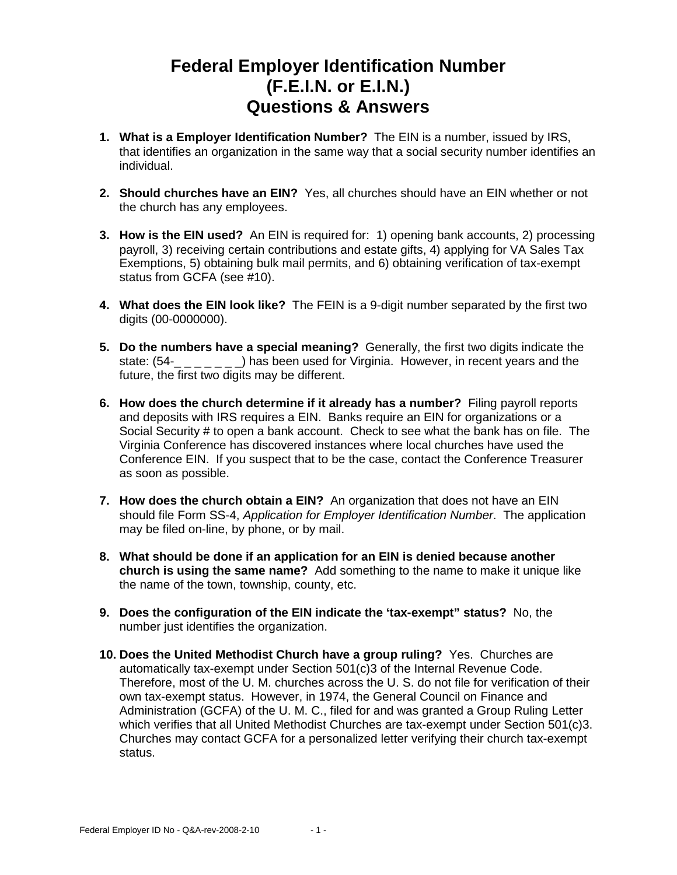## **Federal Employer Identification Number (F.E.I.N. or E.I.N.) Questions & Answers**

- **1. What is a Employer Identification Number?** The EIN is a number, issued by IRS, that identifies an organization in the same way that a social security number identifies an individual.
- **2. Should churches have an EIN?** Yes, all churches should have an EIN whether or not the church has any employees.
- **3. How is the EIN used?** An EIN is required for: 1) opening bank accounts, 2) processing payroll, 3) receiving certain contributions and estate gifts, 4) applying for VA Sales Tax Exemptions, 5) obtaining bulk mail permits, and 6) obtaining verification of tax-exempt status from GCFA (see #10).
- **4. What does the EIN look like?** The FEIN is a 9-digit number separated by the first two digits (00-0000000).
- **5. Do the numbers have a special meaning?** Generally, the first two digits indicate the state:  $(54 - 2 - 1)$  has been used for Virginia. However, in recent years and the future, the first two digits may be different.
- **6. How does the church determine if it already has a number?** Filing payroll reports and deposits with IRS requires a EIN. Banks require an EIN for organizations or a Social Security # to open a bank account. Check to see what the bank has on file. The Virginia Conference has discovered instances where local churches have used the Conference EIN. If you suspect that to be the case, contact the Conference Treasurer as soon as possible.
- **7. How does the church obtain a EIN?** An organization that does not have an EIN should file Form SS-4, Application for Employer Identification Number. The application may be filed on-line, by phone, or by mail.
- **8. What should be done if an application for an EIN is denied because another church is using the same name?** Add something to the name to make it unique like the name of the town, township, county, etc.
- **9. Does the configuration of the EIN indicate the 'tax-exempt" status?** No, the number just identifies the organization.
- **10. Does the United Methodist Church have a group ruling?** Yes. Churches are automatically tax-exempt under Section 501(c)3 of the Internal Revenue Code. Therefore, most of the U. M. churches across the U. S. do not file for verification of their own tax-exempt status. However, in 1974, the General Council on Finance and Administration (GCFA) of the U. M. C., filed for and was granted a Group Ruling Letter which verifies that all United Methodist Churches are tax-exempt under Section 501(c)3. Churches may contact GCFA for a personalized letter verifying their church tax-exempt status.